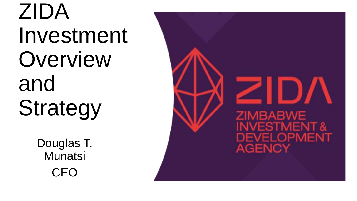ZIDA Investment Overview and Strategy

> Douglas T. **Munatsi CEO**

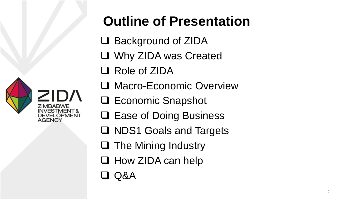

## **Outline of Presentation**

- □ Background of ZIDA
- ❑ Why ZIDA was Created
- ❑ Role of ZIDA
- ❑ Macro-Economic Overview
- ❑ Economic Snapshot
- ❑ Ease of Doing Business
- ❑ NDS1 Goals and Targets
- ❑ The Mining Industry
- ❑ How ZIDA can help
- ❑ Q&A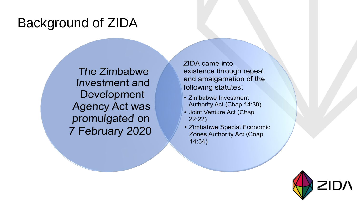### Background of ZIDA

The Zimbabwe Investment and Development **Agency Act was** promulgated on 7 February 2020 ZIDA came into existence through repeal and amalgamation of the following statutes:

- · Zimbabwe Investment Authority Act (Chap 14:30)
- Joint Venture Act (Chap  $22:22)$
- Zimbabwe Special Economic **Zones Authority Act (Chap**  $14:34)$

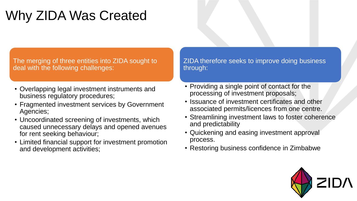## Why ZIDA Was Created

The merging of three entities into ZIDA sought to deal with the following challenges:

- Overlapping legal investment instruments and business regulatory procedures;
- Fragmented investment services by Government Agencies;
- Uncoordinated screening of investments, which caused unnecessary delays and opened avenues for rent seeking behaviour;
- Limited financial support for investment promotion and development activities;

ZIDA therefore seeks to improve doing business through:

- Providing a single point of contact for the processing of investment proposals;
- Issuance of investment certificates and other associated permits/licences from one centre.
- Streamlining investment laws to foster coherence and predictability
- Quickening and easing investment approval process.
- Restoring business confidence in Zimbabwe

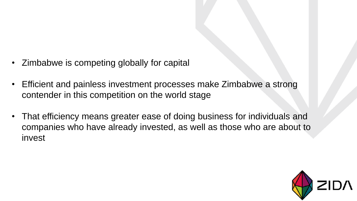- Zimbabwe is competing globally for capital
- Efficient and painless investment processes make Zimbabwe a strong contender in this competition on the world stage
- That efficiency means greater ease of doing business for individuals and companies who have already invested, as well as those who are about to invest

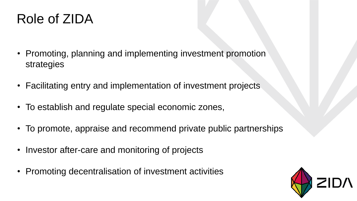### Role of ZIDA

- Promoting, planning and implementing investment promotion strategies
- Facilitating entry and implementation of investment projects
- To establish and regulate special economic zones,
- To promote, appraise and recommend private public partnerships
- Investor after-care and monitoring of projects
- Promoting decentralisation of investment activities

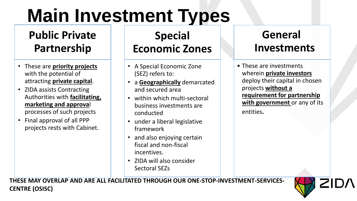# **Main Investment Types**

#### **Public Private Partnership**

- These are **priority projects** with the potential of attracting **private capital**.
- ZIDA assists Contracting Authorities with **facilitating, marketing and approva**l processes of such projects
- Final approval of all PPP projects rests with Cabinet.

#### **Special Economic Zones**

- A Special Economic Zone (SEZ) refers to:
- a **Geographically** demarcated and secured area
- within which multi-sectoral business investments are conducted
- under a liberal legislative framework
- and also enjoying certain fiscal and non-fiscal incentives.
- ZIDA will also consider Sectoral SEZs

#### **General Investments**

• These are investments wherein **private investors**  deploy their capital in chosen projects **without a requirement for partnership with government** or any of its entities.

**THESE MAY OVERLAP AND ARE ALL FACILITATED THROUGH OUR ONE-STOP-INVESTMENT-SERVICES-CENTRE (OSISC)**

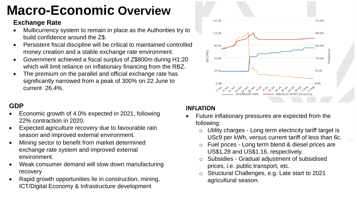## **Macro-Economic Overview**

#### **Exchange Rate**

- Multicurrency system to remain in place as the Authorities try to build confidence around the Z\$.
- Persistent fiscal discipline will be critical to maintained controlled money creation and a stable exchange rate environment.
- Government achieved a fiscal surplus of Z\$800m during H1:20 which will limit reliance on inflationary financing from the RBZ.
- The premium on the parallel and official exchange rate has significantly narrowed from a peak of 300% on 22 June to current 26.4%.

#### **GDP**

- Economic growth of 4.0% expected in 2021, following 22% contraction in 2020.
- Expected agriculture recovery due to favourable rain season and improved external environment.
- Mining sector to benefit from market determined exchange rate system and improved external environment.
- Weak consumer demand will slow down manufacturing recovery
- Rapid growth opportunities lie in construction, mining, ICT/Digital Economy & Infrastructure development



#### **INFLATION**

- Future inflationary pressures are expected from the following:
	- Utility charges Long term electricity tariff target is USc9 per kWh, versus current tariff of less than 6c.
	- Fuel prices Long term blend & diesel prices are US\$1.28 and US\$1.16, respectively.
	- Subsidies Gradual adjustment of subsidised prices, i.e. public transport, etc.
	- Structural Challenges, e.g. Late start to 2021 agricultural season.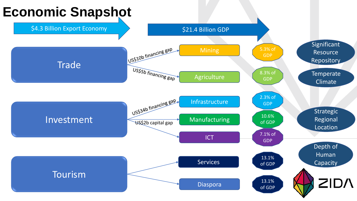#### **Economic Snapshot**

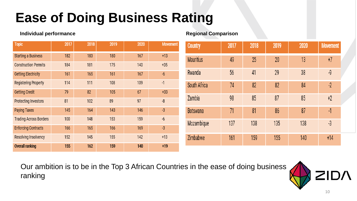## **Ease of Doing Business Rating**

| <b>Topic</b>                  | 2017 | 2018 | 2019 | 2020 | Movement |
|-------------------------------|------|------|------|------|----------|
| <b>Starting a Business</b>    | 182  | 183  | 180  | 167  | $+13$    |
| <b>Construction Permits</b>   | 184  | 181  | 175  | 140  | $+35$    |
| <b>Getting Electricity</b>    | 161  | 165  | 161  | 167  | $-6$     |
| <b>Registering Property</b>   | 114  | 111  | 108  | 109  | $-1$     |
| <b>Getting Credit</b>         | 79   | 82   | 105  | 67   | $+33$    |
| <b>Protecting Investors</b>   | 81   | 102  | 89   | 97   | -8       |
| <b>Paying Taxes</b>           | 145  | 164  | 143  | 146  | $-3$     |
| <b>Trading Across Borders</b> | 100  | 148  | 153  | 159  | $-6$     |
| <b>Enforcing Contracts</b>    | 166  | 165  | 166  | 169  | $-3$     |
| <b>Resolving Insolvency</b>   | 152  | 145  | 155  | 142  | $+13$    |
| <b>Overall ranking</b>        | 155  | 162  | 159  | 140  | $+19$    |

#### **Individual performance Regional Comparison**

| <b>Country</b>   | 2017 | 2018 | 2019 | 2020 | <b>Movement</b> |
|------------------|------|------|------|------|-----------------|
| <b>Mauritius</b> | 49   | 25   | 20   | 13   | $+7$            |
| Rwanda           | 56   | 41   | 29   | 38   | -9              |
| South Africa     | 74   | 82   | 82   | 84   | $-2$            |
| Zambia           | 98   | 85   | 87   | 85   | $+2$            |
| <b>Botswana</b>  | 71   | 81   | 86   | 87   | $\cdot$ 1       |
| Mozambique       | 137  | 138  | 135  | 138  | $-3$            |
| Zimbabwe         | 161  | 159  | 155  | 140  | $+14$           |

Our ambition is to be in the Top 3 African Countries in the ease of doing business ranking

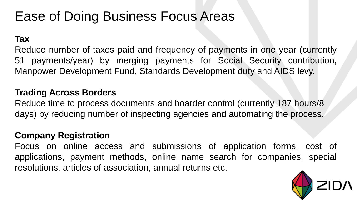### Ease of Doing Business Focus Areas

**Tax**

Reduce number of taxes paid and frequency of payments in one year (currently 51 payments/year) by merging payments for Social Security contribution, Manpower Development Fund, Standards Development duty and AIDS levy.

#### **Trading Across Borders**

Reduce time to process documents and boarder control (currently 187 hours/8 days) by reducing number of inspecting agencies and automating the process.

#### **Company Registration**

Focus on online access and submissions of application forms, cost of applications, payment methods, online name search for companies, special resolutions, articles of association, annual returns etc.

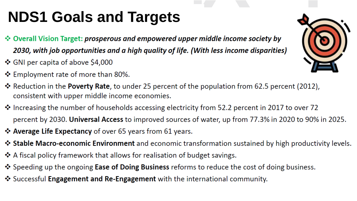## **NDS1 Goals and Targets NDS1 Goals and Targets**

- \* Overall Vision Target: prosperous and empowered upper middle income society by 2030, with job opportunities and a high quality of life. (With less income disparities)
- ❖ GNI per capita of above \$4,000
- ❖ Employment rate of more than 80%.
- \* Reduction in the Poverty Rate, to under 25 percent of the population from 62.5 percent (2012), consistent with upper middle income economies.
- \* Increasing the number of households accessing electricity from 52.2 percent in 2017 to over 72 percent by 2030. Universal Access to improved sources of water, up from 77.3% in 2020 to 90% in 2025.
- ❖ Average Life Expectancy of over 65 years from 61 years.
- \* Stable Macro-economic Environment and economic transformation sustained by high productivity levels.
- ❖ A fiscal policy framework that allows for realisation of budget savings.
- ❖ Speeding up the ongoing Ease of Doing Business reforms to reduce the cost of doing business.
- ❖ Successful Engagement and Re-Engagement with the international community.

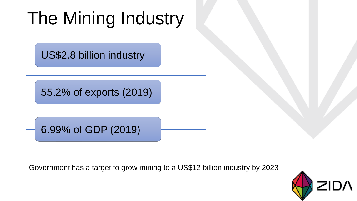# The Mining Industry

US\$2.8 billion industry

55.2% of exports (2019)

6.99% of GDP (2019)

Government has a target to grow mining to a US\$12 billion industry by 2023

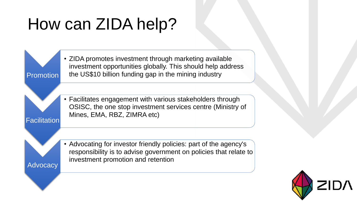# How can ZIDA help?

**Facilitation** 

Advocacy

Promotion • ZIDA promotes investment through marketing available investment opportunities globally. This should help address the US\$10 billion funding gap in the mining industry

> • Facilitates engagement with various stakeholders through OSISC, the one stop investment services centre (Ministry of Mines, EMA, RBZ, ZIMRA etc)

• Advocating for investor friendly policies: part of the agency's responsibility is to advise government on policies that relate to investment promotion and retention